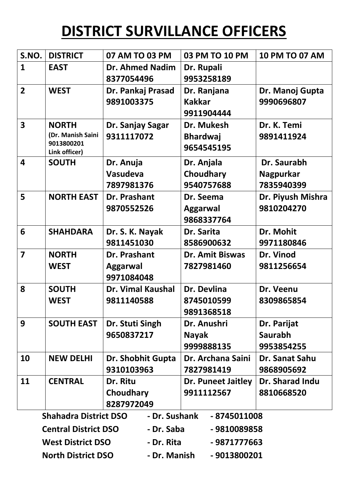# **DISTRICT SURVILLANCE OFFICERS**

| S.NO.                                                        | <b>DISTRICT</b>                                                  | 07 AM TO 03 PM                                | 03 PM TO 10 PM                              | 10 PM TO 07 AM                                |
|--------------------------------------------------------------|------------------------------------------------------------------|-----------------------------------------------|---------------------------------------------|-----------------------------------------------|
| 1                                                            | <b>EAST</b>                                                      | <b>Dr. Ahmed Nadim</b><br>8377054496          | Dr. Rupali<br>9953258189                    |                                               |
| $\overline{2}$                                               | <b>WEST</b>                                                      | Dr. Pankaj Prasad<br>9891003375               | Dr. Ranjana<br><b>Kakkar</b><br>9911904444  | Dr. Manoj Gupta<br>9990696807                 |
| $\overline{\mathbf{3}}$                                      | <b>NORTH</b><br>(Dr. Manish Saini<br>9013800201<br>Link officer) | Dr. Sanjay Sagar<br>9311117072                | Dr. Mukesh<br><b>Bhardwaj</b><br>9654545195 | Dr. K. Temi<br>9891411924                     |
| 4                                                            | <b>SOUTH</b>                                                     | Dr. Anuja<br>Vasudeva<br>7897981376           | Dr. Anjala<br>Choudhary<br>9540757688       | Dr. Saurabh<br><b>Nagpurkar</b><br>7835940399 |
| 5                                                            | <b>NORTH EAST</b>                                                | Dr. Prashant<br>9870552526                    | Dr. Seema<br><b>Aggarwal</b><br>9868337764  | Dr. Piyush Mishra<br>9810204270               |
| 6                                                            | <b>SHAHDARA</b>                                                  | Dr. S. K. Nayak<br>9811451030                 | Dr. Sarita<br>8586900632                    | Dr. Mohit<br>9971180846                       |
| $\overline{\mathbf{z}}$                                      | <b>NORTH</b><br><b>WEST</b>                                      | Dr. Prashant<br><b>Aggarwal</b><br>9971084048 | Dr. Amit Biswas<br>7827981460               | Dr. Vinod<br>9811256654                       |
| 8                                                            | <b>SOUTH</b><br><b>WEST</b>                                      | <b>Dr. Vimal Kaushal</b><br>9811140588        | Dr. Devlina<br>8745010599<br>9891368518     | Dr. Veenu<br>8309865854                       |
| 9                                                            | <b>SOUTH EAST</b>                                                | Dr. Stuti Singh<br>9650837217                 | Dr. Anushri<br><b>Nayak</b><br>9999888135   | Dr. Parijat<br><b>Saurabh</b><br>9953854255   |
| 10                                                           | <b>NEW DELHI</b>                                                 | Dr. Shobhit Gupta<br>9310103963               | Dr. Archana Saini<br>7827981419             | Dr. Sanat Sahu<br>9868905692                  |
| 11                                                           | <b>CENTRAL</b>                                                   | Dr. Ritu<br>Choudhary<br>8287972049           | Dr. Puneet Jaitley<br>9911112567            | Dr. Sharad Indu<br>8810668520                 |
| <b>Shahadra District DSO</b><br>- Dr. Sushank<br>-8745011008 |                                                                  |                                               |                                             |                                               |
| <b>Central District DSO</b><br>- Dr. Saba<br>-9810089858     |                                                                  |                                               |                                             |                                               |
| <b>West District DSO</b><br>- Dr. Rita<br>- 9871777663       |                                                                  |                                               |                                             |                                               |

**North District DSO - Dr. Manish - 9013800201**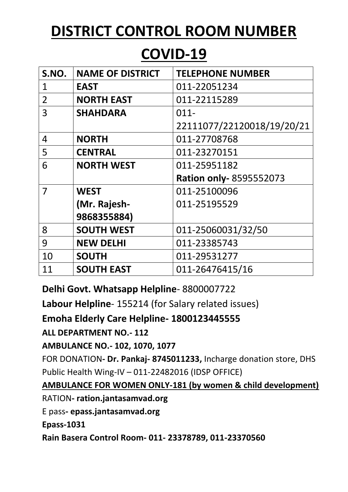# **DISTRICT CONTROL ROOM NUMBER**

## **COVID-19**

| S.NO.          | <b>NAME OF DISTRICT</b> | <b>TELEPHONE NUMBER</b>       |  |
|----------------|-------------------------|-------------------------------|--|
| 1              | <b>EAST</b>             | 011-22051234                  |  |
| $\overline{2}$ | <b>NORTH EAST</b>       | 011-22115289                  |  |
| 3              | <b>SHAHDARA</b>         | $011 -$                       |  |
|                |                         | 22111077/22120018/19/20/21    |  |
| 4              | <b>NORTH</b>            | 011-27708768                  |  |
| 5              | <b>CENTRAL</b>          | 011-23270151                  |  |
| 6              | <b>NORTH WEST</b>       | 011-25951182                  |  |
|                |                         | <b>Ration only-8595552073</b> |  |
| 7              | <b>WEST</b>             | 011-25100096                  |  |
|                | (Mr. Rajesh-            | 011-25195529                  |  |
|                | 9868355884)             |                               |  |
| 8              | <b>SOUTH WEST</b>       | 011-25060031/32/50            |  |
| 9              | <b>NEW DELHI</b>        | 011-23385743                  |  |
| 10             | <b>SOUTH</b>            | 011-29531277                  |  |
| 11             | <b>SOUTH EAST</b>       | 011-26476415/16               |  |

**Delhi Govt. Whatsapp Helpline**- 8800007722

**Labour Helpline**- 155214 (for Salary related issues)

**Emoha Elderly Care Helpline- 1800123445555**

**ALL DEPARTMENT NO.- 112**

**AMBULANCE NO.- 102, 1070, 1077**

FOR DONATION**- Dr. Pankaj- 8745011233,** Incharge donation store, DHS Public Health Wing-IV – 011-22482016 (IDSP OFFICE)

**AMBULANCE FOR WOMEN ONLY-181 (by women & child development)**

RATION**- ration.jantasamvad.org**

E pass**- epass.jantasamvad.org** 

**Epass-1031**

**Rain Basera Control Room- 011- 23378789, 011-23370560**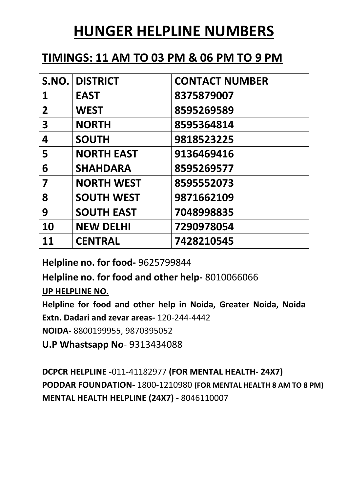# **HUNGER HELPLINE NUMBERS**

### **TIMINGS: 11 AM TO 03 PM & 06 PM TO 9 PM**

|                | <b>S.NO. DISTRICT</b> | <b>CONTACT NUMBER</b> |
|----------------|-----------------------|-----------------------|
| 1              | <b>EAST</b>           | 8375879007            |
| $\overline{2}$ | <b>WEST</b>           | 8595269589            |
| 3              | <b>NORTH</b>          | 8595364814            |
| 4              | <b>SOUTH</b>          | 9818523225            |
| 5              | <b>NORTH EAST</b>     | 9136469416            |
| 6              | <b>SHAHDARA</b>       | 8595269577            |
| 7              | <b>NORTH WEST</b>     | 8595552073            |
| 8              | <b>SOUTH WEST</b>     | 9871662109            |
| 9              | <b>SOUTH EAST</b>     | 7048998835            |
| 10             | <b>NEW DELHI</b>      | 7290978054            |
| 11             | <b>CENTRAL</b>        | 7428210545            |

**Helpline no. for food-** 9625799844

**Helpline no. for food and other help-** 8010066066

**UP HELPLINE NO.**

**Helpline for food and other help in Noida, Greater Noida, Noida Extn. Dadari and zevar areas-** 120-244-4442

**NOIDA-** 8800199955, 9870395052

**U.P Whastsapp No**- 9313434088

**DCPCR HELPLINE -**011-41182977 **(FOR MENTAL HEALTH- 24X7) PODDAR FOUNDATION-** 1800-1210980 **(FOR MENTAL HEALTH 8 AM TO 8 PM) MENTAL HEALTH HELPLINE (24X7) -** 8046110007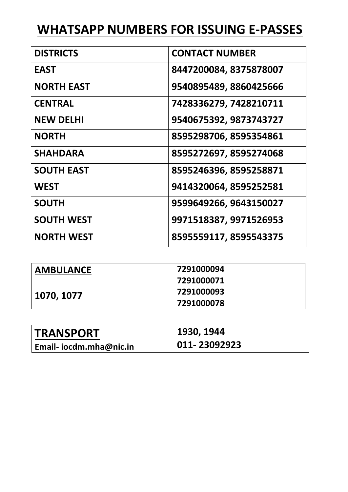### **WHATSAPP NUMBERS FOR ISSUING E-PASSES**

| <b>DISTRICTS</b>  | <b>CONTACT NUMBER</b>  |
|-------------------|------------------------|
| <b>EAST</b>       | 8447200084, 8375878007 |
| <b>NORTH EAST</b> | 9540895489, 8860425666 |
| <b>CENTRAL</b>    | 7428336279, 7428210711 |
| <b>NEW DELHI</b>  | 9540675392, 9873743727 |
| <b>NORTH</b>      | 8595298706, 8595354861 |
| <b>SHAHDARA</b>   | 8595272697, 8595274068 |
| <b>SOUTH EAST</b> | 8595246396, 8595258871 |
| <b>WEST</b>       | 9414320064, 8595252581 |
| <b>SOUTH</b>      | 9599649266, 9643150027 |
| <b>SOUTH WEST</b> | 9971518387, 9971526953 |
| <b>NORTH WEST</b> | 8595559117, 8595543375 |

| <b>AMBULANCE</b> | 7291000094 |  |
|------------------|------------|--|
|                  | 7291000071 |  |
| 1070, 1077       | 7291000093 |  |
|                  | 7291000078 |  |

| <b>TRANSPORT</b>       | $\mid$ 1930, 1944 |
|------------------------|-------------------|
| Email-iocdm.mha@nic.in | 011-23092923      |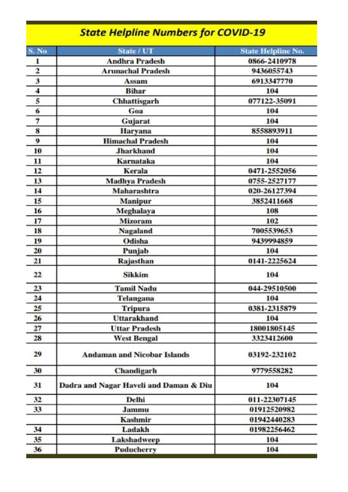## **State Helpline Numbers for COVID-19**

| S. No          | <b>State / UT</b>                      | <b>State Helpline No.</b> |  |
|----------------|----------------------------------------|---------------------------|--|
|                | <b>Andhra Pradesh</b><br>0866-2410978  |                           |  |
| $\overline{2}$ | <b>Arunachal Pradesh</b>               | 9436055743                |  |
| 3              | <b>Assam</b>                           | 6913347770                |  |
| 4              | <b>Bihar</b>                           | 104                       |  |
| 5              | Chhattisgarh                           | 077122-35091              |  |
| 6              | Goa                                    | 104                       |  |
| 7              | Gujarat                                | 104                       |  |
| 8              | <b>Haryana</b>                         | 8558893911                |  |
| 9              | <b>Himachal Pradesh</b>                | 104                       |  |
| 10             | <b>Jharkhand</b>                       | 104                       |  |
| 11             | <b>Karnataka</b>                       | 104                       |  |
| 12             | <b>Kerala</b>                          | 0471-2552056              |  |
| 13             | <b>Madhya Pradesh</b>                  | 0755-2527177              |  |
| 14             | <b>Maharashtra</b>                     | 020-26127394              |  |
| 15             | <b>Manipur</b>                         | 3852411668                |  |
| 16             | Meghalaya                              | 108                       |  |
| 17             | <b>Mizoram</b>                         | 102                       |  |
| 18             | <b>Nagaland</b>                        | 7005539653                |  |
| 19             | Odisha                                 | 9439994859                |  |
| 20             | Punjab                                 | 104                       |  |
| 21             | Rajasthan                              | 0141-2225624              |  |
| 22             | <b>Sikkim</b>                          | 104                       |  |
| 23             | <b>Tamil Nadu</b>                      | 044-29510500              |  |
| 24             | <b>Telangana</b>                       | 104                       |  |
| 25             | <b>Tripura</b>                         | 0381-2315879              |  |
| 26             | <b>Uttarakhand</b>                     | 104                       |  |
| 27             | <b>Uttar Pradesh</b>                   | 18001805145               |  |
| 28             | <b>West Bengal</b>                     | 3323412600                |  |
| 29             | <b>Andaman and Nicobar Islands</b>     | 03192-232102              |  |
| 30             | Chandigarh                             | 9779558282                |  |
| 31             | Dadra and Nagar Haveli and Daman & Diu | 104                       |  |
| 32             | Delhi                                  | 011-22307145              |  |
| 33             | <b>Jammu</b>                           | 01912520982               |  |
|                | <b>Kashmir</b>                         | 01942440283               |  |
| 34             | Ladakh                                 | 01982256462               |  |
| 35             | <b>Lakshadweep</b>                     | 104                       |  |
| 36             | <b>Puducherry</b>                      | 104                       |  |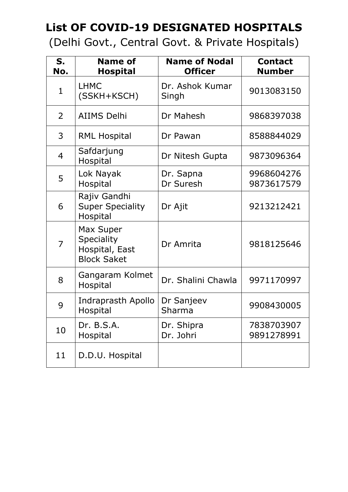### **List OF COVID-19 DESIGNATED HOSPITALS**

(Delhi Govt., Central Govt. & Private Hospitals)

| S.<br>No.      | Name of<br><b>Hospital</b>                                      | <b>Name of Nodal</b><br><b>Officer</b> | <b>Contact</b><br><b>Number</b> |
|----------------|-----------------------------------------------------------------|----------------------------------------|---------------------------------|
| 1              | <b>LHMC</b><br>(SSKH+KSCH)                                      | Dr. Ashok Kumar<br>Singh               | 9013083150                      |
| 2              | <b>AIIMS Delhi</b>                                              | Dr Mahesh                              | 9868397038                      |
| 3              | <b>RML Hospital</b>                                             | Dr Pawan                               | 8588844029                      |
| $\overline{4}$ | Safdarjung<br>Hospital                                          | Dr Nitesh Gupta                        | 9873096364                      |
| 5              | Lok Nayak<br>Hospital                                           | Dr. Sapna<br>Dr Suresh                 | 9968604276<br>9873617579        |
| 6              | Rajiv Gandhi<br><b>Super Speciality</b><br>Hospital             | Dr Ajit                                | 9213212421                      |
| 7              | Max Super<br>Speciality<br>Hospital, East<br><b>Block Saket</b> | Dr Amrita                              | 9818125646                      |
| 8              | Gangaram Kolmet<br>Hospital                                     | Dr. Shalini Chawla                     | 9971170997                      |
| 9              | Indraprasth Apollo<br>Hospital                                  | Dr Sanjeev<br>Sharma                   | 9908430005                      |
| 10             | Dr. B.S.A.<br>Hospital                                          | Dr. Shipra<br>Dr. Johri                | 7838703907<br>9891278991        |
| 11             | D.D.U. Hospital                                                 |                                        |                                 |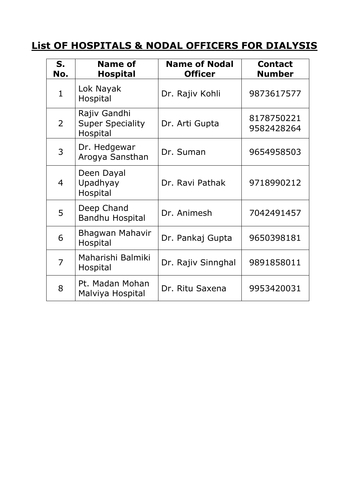#### **List OF HOSPITALS & NODAL OFFICERS FOR DIALYSIS**

| $S_{1}$<br>No. | Name of<br><b>Hospital</b>                          | <b>Name of Nodal</b><br><b>Officer</b> | <b>Contact</b><br><b>Number</b> |
|----------------|-----------------------------------------------------|----------------------------------------|---------------------------------|
| $\mathbf{1}$   | Lok Nayak<br>Hospital                               | Dr. Rajiv Kohli                        | 9873617577                      |
| $\overline{2}$ | Rajiv Gandhi<br><b>Super Speciality</b><br>Hospital | Dr. Arti Gupta                         | 8178750221<br>9582428264        |
| 3              | Dr. Hedgewar<br>Arogya Sansthan                     | Dr. Suman                              | 9654958503                      |
| 4              | Deen Dayal<br>Upadhyay<br>Hospital                  | Dr. Ravi Pathak                        | 9718990212                      |
| 5              | Deep Chand<br><b>Bandhu Hospital</b>                | Dr. Animesh                            | 7042491457                      |
| 6              | Bhagwan Mahavir<br>Hospital                         | Dr. Pankaj Gupta                       | 9650398181                      |
| 7              | Maharishi Balmiki<br>Hospital                       | Dr. Rajiv Sinnghal                     | 9891858011                      |
| 8              | Pt. Madan Mohan<br>Malviya Hospital                 | Dr. Ritu Saxena                        | 9953420031                      |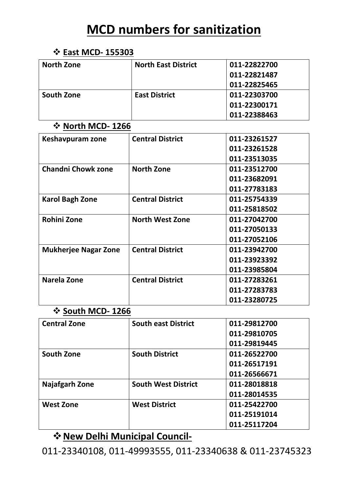## **MCD numbers for sanitization**

#### **East MCD- 155303**

| <b>North Zone</b>           | <b>North East District</b> | 011-22822700 |
|-----------------------------|----------------------------|--------------|
|                             |                            | 011-22821487 |
|                             |                            | 011-22825465 |
| <b>South Zone</b>           | <b>East District</b>       | 011-22303700 |
|                             |                            | 011-22300171 |
|                             |                            | 011-22388463 |
| ❖ North MCD-1266            |                            |              |
| Keshavpuram zone            | <b>Central District</b>    | 011-23261527 |
|                             |                            | 011-23261528 |
|                             |                            | 011-23513035 |
| <b>Chandni Chowk zone</b>   | <b>North Zone</b>          | 011-23512700 |
|                             |                            | 011-23682091 |
|                             |                            | 011-27783183 |
| <b>Karol Bagh Zone</b>      | <b>Central District</b>    | 011-25754339 |
|                             |                            | 011-25818502 |
| <b>Rohini Zone</b>          | <b>North West Zone</b>     | 011-27042700 |
|                             |                            | 011-27050133 |
|                             |                            | 011-27052106 |
| <b>Mukherjee Nagar Zone</b> | <b>Central District</b>    | 011-23942700 |
|                             |                            | 011-23923392 |
|                             |                            | 011-23985804 |
| <b>Narela Zone</b>          | <b>Central District</b>    | 011-27283261 |
|                             |                            | 011-27283783 |
|                             |                            | 011-23280725 |

#### **South MCD- 1266**

| <b>Central Zone</b>   | <b>South east District</b> | 011-29812700 |
|-----------------------|----------------------------|--------------|
|                       |                            | 011-29810705 |
|                       |                            | 011-29819445 |
| <b>South Zone</b>     | <b>South District</b>      | 011-26522700 |
|                       |                            | 011-26517191 |
|                       |                            | 011-26566671 |
| <b>Najafgarh Zone</b> | <b>South West District</b> | 011-28018818 |
|                       |                            | 011-28014535 |
| <b>West Zone</b>      | <b>West District</b>       | 011-25422700 |
|                       |                            | 011-25191014 |
|                       |                            | 011-25117204 |

#### **New Delhi Municipal Council-**

011-23340108, 011-49993555, 011-23340638 & 011-23745323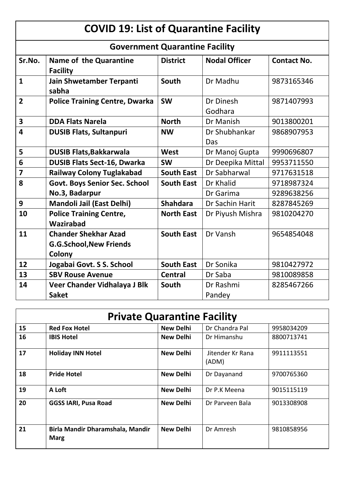| <b>COVID 19: List of Quarantine Facility</b> |                                                                         |                   |                      |                    |
|----------------------------------------------|-------------------------------------------------------------------------|-------------------|----------------------|--------------------|
|                                              | <b>Government Quarantine Facility</b>                                   |                   |                      |                    |
| Sr.No.                                       | <b>Name of the Quarantine</b><br><b>Facility</b>                        | <b>District</b>   | <b>Nodal Officer</b> | <b>Contact No.</b> |
| $\mathbf{1}$                                 | Jain Shwetamber Terpanti<br>sabha                                       | South             | Dr Madhu             | 9873165346         |
| $\overline{2}$                               | <b>Police Training Centre, Dwarka</b>                                   | <b>SW</b>         | Dr Dinesh<br>Godhara | 9871407993         |
| 3                                            | <b>DDA Flats Narela</b>                                                 | <b>North</b>      | Dr Manish            | 9013800201         |
| 4                                            | <b>DUSIB Flats, Sultanpuri</b>                                          | <b>NW</b>         | Dr Shubhankar<br>Das | 9868907953         |
| 5                                            | <b>DUSIB Flats, Bakkarwala</b>                                          | West              | Dr Manoj Gupta       | 9990696807         |
| 6                                            | <b>DUSIB Flats Sect-16, Dwarka</b>                                      | <b>SW</b>         | Dr Deepika Mittal    | 9953711550         |
| $\overline{\mathbf{z}}$                      | <b>Railway Colony Tuglakabad</b>                                        | <b>South East</b> | Dr Sabharwal         | 9717631518         |
| 8                                            | <b>Govt. Boys Senior Sec. School</b>                                    | <b>South East</b> | Dr Khalid            | 9718987324         |
|                                              | No.3, Badarpur                                                          |                   | Dr Garima            | 9289638256         |
| 9                                            | <b>Mandoli Jail (East Delhi)</b>                                        | <b>Shahdara</b>   | Dr Sachin Harit      | 8287845269         |
| 10                                           | <b>Police Training Centre,</b><br>Wazirabad                             | <b>North East</b> | Dr Piyush Mishra     | 9810204270         |
| 11                                           | <b>Chander Shekhar Azad</b><br><b>G.G.School, New Friends</b><br>Colony | <b>South East</b> | Dr Vansh             | 9654854048         |
| 12                                           | Jogabai Govt. S S. School                                               | <b>South East</b> | Dr Sonika            | 9810427972         |
| 13                                           | <b>SBV Rouse Avenue</b>                                                 | <b>Central</b>    | Dr Saba              | 9810089858         |
| 14                                           | Veer Chander Vidhalaya J Blk                                            | South             | Dr Rashmi            | 8285467266         |
|                                              | <b>Saket</b>                                                            |                   | Pandey               |                    |

| <b>Private Quarantine Facility</b> |                                                 |                  |                           |            |
|------------------------------------|-------------------------------------------------|------------------|---------------------------|------------|
| 15                                 | <b>Red Fox Hotel</b>                            | <b>New Delhi</b> | Dr Chandra Pal            | 9958034209 |
| 16                                 | <b>IBIS Hotel</b>                               | <b>New Delhi</b> | Dr Himanshu               | 8800713741 |
| 17                                 | <b>Holiday INN Hotel</b>                        | New Delhi        | Jitender Kr Rana<br>(ADM) | 9911113551 |
| 18                                 | <b>Pride Hotel</b>                              | <b>New Delhi</b> | Dr Dayanand               | 9700765360 |
| 19                                 | A Loft                                          | New Delhi        | Dr P.K Meena              | 9015115119 |
| 20                                 | <b>GGSS IARI, Pusa Road</b>                     | New Delhi        | Dr Parveen Bala           | 9013308908 |
| 21                                 | Birla Mandir Dharamshala, Mandir<br><b>Marg</b> | <b>New Delhi</b> | Dr Amresh                 | 9810858956 |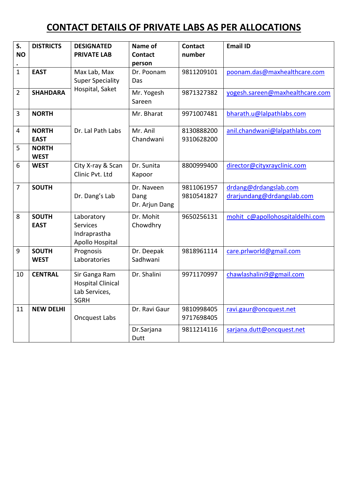#### **CONTACT DETAILS OF PRIVATE LABS AS PER ALLOCATIONS**

| S.<br><b>NO</b> | <b>DISTRICTS</b>            | <b>DESIGNATED</b><br><b>PRIVATE LAB</b>                                   | Name of<br><b>Contact</b> | <b>Contact</b><br>number | <b>Email ID</b>                 |
|-----------------|-----------------------------|---------------------------------------------------------------------------|---------------------------|--------------------------|---------------------------------|
|                 |                             |                                                                           | person                    |                          |                                 |
| $\mathbf{1}$    | <b>EAST</b>                 | Max Lab, Max<br><b>Super Speciality</b>                                   | Dr. Poonam<br>Das         | 9811209101               | poonam.das@maxhealthcare.com    |
| $\overline{2}$  | <b>SHAHDARA</b>             | Hospital, Saket                                                           | Mr. Yogesh<br>Sareen      | 9871327382               | yogesh.sareen@maxhealthcare.com |
| 3               | <b>NORTH</b>                |                                                                           | Mr. Bharat                | 9971007481               | bharath.u@lalpathlabs.com       |
| $\overline{4}$  | <b>NORTH</b>                | Dr. Lal Path Labs                                                         | Mr. Anil                  | 8130888200               | anil.chandwani@lalpathlabs.com  |
|                 | <b>EAST</b>                 |                                                                           | Chandwani                 | 9310628200               |                                 |
| 5               | <b>NORTH</b><br><b>WEST</b> |                                                                           |                           |                          |                                 |
| 6               | <b>WEST</b>                 | City X-ray & Scan<br>Clinic Pvt. Ltd                                      | Dr. Sunita<br>Kapoor      | 8800999400               | director@cityxrayclinic.com     |
| $\overline{7}$  | <b>SOUTH</b>                |                                                                           | Dr. Naveen                | 9811061957               | drdang@drdangslab.com           |
|                 |                             | Dr. Dang's Lab                                                            | Dang<br>Dr. Arjun Dang    | 9810541827               | drarjundang@drdangslab.com      |
| 8               | <b>SOUTH</b><br><b>EAST</b> | Laboratory<br><b>Services</b><br>Indraprastha<br>Apollo Hospital          | Dr. Mohit<br>Chowdhry     | 9650256131               | mohit c@apollohospitaldelhi.com |
| 9               | <b>SOUTH</b><br><b>WEST</b> | Prognosis<br>Laboratories                                                 | Dr. Deepak<br>Sadhwani    | 9818961114               | care.prlworld@gmail.com         |
| 10              | <b>CENTRAL</b>              | Sir Ganga Ram<br><b>Hospital Clinical</b><br>Lab Services,<br><b>SGRH</b> | Dr. Shalini               | 9971170997               | chawlashalini9@gmail.com        |
| 11              | <b>NEW DELHI</b>            | <b>Oncquest Labs</b>                                                      | Dr. Ravi Gaur             | 9810998405<br>9717698405 | ravi.gaur@oncquest.net          |
|                 |                             |                                                                           | Dr.Sarjana<br>Dutt        | 9811214116               | sarjana.dutt@oncquest.net       |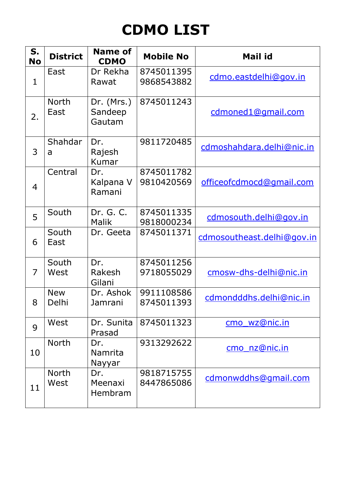# **CDMO LIST**

| S.<br><b>No</b> | <b>District</b>      | Name of<br><b>CDMO</b>          | <b>Mobile No</b>         | Mail id                           |
|-----------------|----------------------|---------------------------------|--------------------------|-----------------------------------|
| $\mathbf{1}$    | East                 | Dr Rekha<br>Rawat               | 8745011395<br>9868543882 | cdmo.eastdelhi@gov.in             |
| 2.              | <b>North</b><br>East | Dr. (Mrs.)<br>Sandeep<br>Gautam | 8745011243               | cdmoned1@gmail.com                |
| 3               | Shahdar<br>a         | Dr.<br>Rajesh<br>Kumar          | 9811720485               | <u>cdmoshahdara.delhi@nic.in</u>  |
| $\overline{4}$  | Central              | Dr.<br>Kalpana V<br>Ramani      | 8745011782<br>9810420569 | <u>office of cdmocd@qmail.com</u> |
| 5               | South                | Dr. G. C.<br><b>Malik</b>       | 8745011335<br>9818000234 | cdmosouth.delhi@gov.in            |
| 6               | South<br>East        | Dr. Geeta                       | 8745011371               | cdmosoutheast.delhi@gov.in        |
| $\overline{7}$  | South<br>West        | Dr.<br>Rakesh<br>Gilani         | 8745011256<br>9718055029 | cmosw-dhs-delhi@nic.in            |
| 8               | <b>New</b><br>Delhi  | Dr. Ashok<br>Jamrani            | 9911108586<br>8745011393 | cdmondddhs.delhi@nic.in           |
| 9               | West                 | Dr. Sunita<br>Prasad            | 8745011323               | cmo wz@nic.in                     |
| 10              | <b>North</b>         | Dr.<br>Namrita<br>Nayyar        | 9313292622               | cmo nz@nic.in                     |
| 11              | <b>North</b><br>West | Dr.<br>Meenaxi<br>Hembram       | 9818715755<br>8447865086 | cdmonwddhs@gmail.com              |